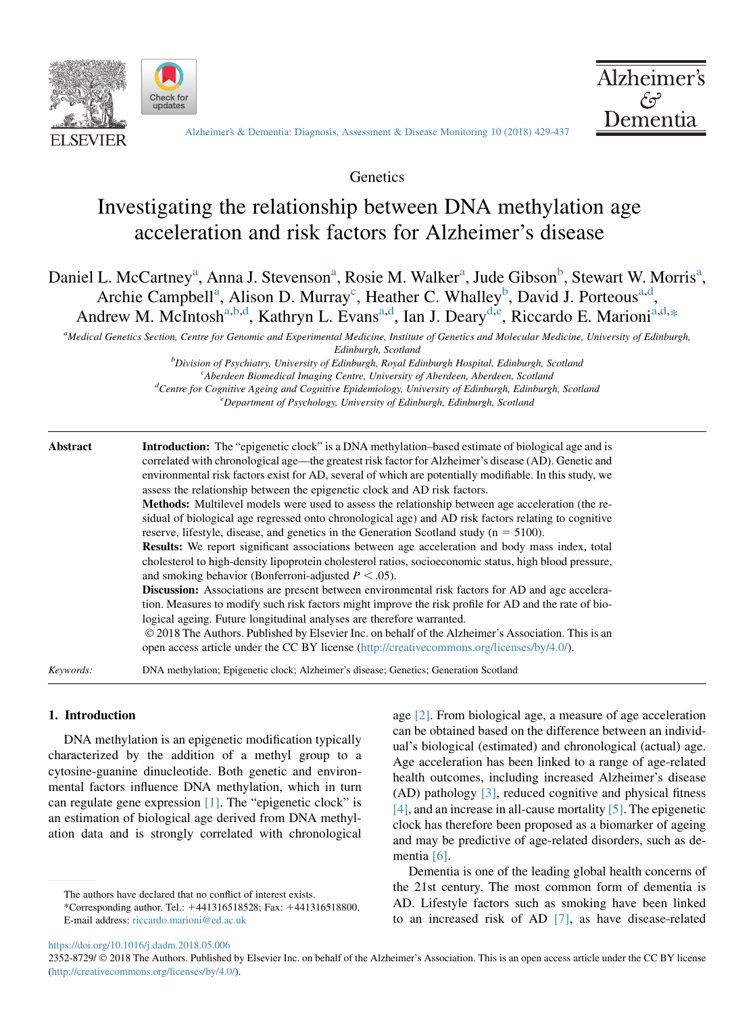





[Alzheimer's & Dementia: Diagnosis, Assessment & Disease Monitoring 10 \(2018\) 429-437](https://doi.org/10.1016/j.dadm.2018.05.006)

**Genetics** 

# Investigating the relationship between DNA methylation age acceleration and risk factors for Alzheimer's disease

Daniel L. McCartney<sup>a</sup>, Anna J. Stevenson<sup>a</sup>, Rosie M. Walker<sup>a</sup>, Jude Gibson<sup>b</sup>, Stewart W. Morris<sup>a</sup>, Archie Campbell<sup>a</sup>, Alison D. Murray<sup>c</sup>, Heather C. Whalley<sup>b</sup>, David J. Porteous<sup>a,d</sup>, Andrew M. McIntosh<sup>a,b,d</sup>, Kathryn L. Evans<sup>a,d</sup>, Ian J. Deary<sup>d,e</sup>, Riccardo E. Marioni<sup>a,d,\*</sup>

a<br>Medical Genetics Section, Centre for Genomic and Experimental Medicine, Institute of Genetics and Molecular Medicine, University of Edinburgh,

Edinburgh, Scotland

 ${}^b$ Division of Psychiatry, University of Edinburgh, Royal Edinburgh Hospital, Edinburgh, Scotland<br>
charden Biomediael Imagine Centre, University of Aberdeen, Aberdeen, Scotland  $c^c$ Aberdeen Biomedical Imaging Centre, University of Aberdeen, Aberdeen, Scotland  ${}^d$ Centre for Cognitive Ageing and Cognitive Epidemiology, University of Edinburgh, Edinburgh, Scotland  $^e$ Department of Psychology, University of Edinburgh, Edinburgh, Scotland

| Abstract | <b>Introduction:</b> The "epigenetic clock" is a DNA methylation-based estimate of biological age and is<br>correlated with chronological age—the greatest risk factor for Alzheimer's disease (AD). Genetic and<br>environmental risk factors exist for AD, several of which are potentially modifiable. In this study, we |  |  |  |  |
|----------|-----------------------------------------------------------------------------------------------------------------------------------------------------------------------------------------------------------------------------------------------------------------------------------------------------------------------------|--|--|--|--|
|          | assess the relationship between the epigenetic clock and AD risk factors.                                                                                                                                                                                                                                                   |  |  |  |  |
|          | <b>Methods:</b> Multilevel models were used to assess the relationship between age acceleration (the re-<br>sidual of biological age regressed onto chronological age) and AD risk factors relating to cognitive<br>reserve, lifestyle, disease, and genetics in the Generation Scotland study ( $n = 5100$ ).              |  |  |  |  |
|          | <b>Results:</b> We report significant associations between age acceleration and body mass index, total<br>cholesterol to high-density lipoprotein cholesterol ratios, socioeconomic status, high blood pressure,<br>and smoking behavior (Bonferroni-adjusted $P < .05$ ).                                                  |  |  |  |  |
|          | <b>Discussion:</b> Associations are present between environmental risk factors for AD and age accelera-<br>tion. Measures to modify such risk factors might improve the risk profile for AD and the rate of bio-<br>logical ageing. Future longitudinal analyses are therefore warranted.                                   |  |  |  |  |
|          | © 2018 The Authors. Published by Elsevier Inc. on behalf of the Alzheimer's Association. This is an<br>open access article under the CC BY license (http://creativecommons.org/licenses/by/4.0/).                                                                                                                           |  |  |  |  |
|          |                                                                                                                                                                                                                                                                                                                             |  |  |  |  |

Keywords: DNA methylation; Epigenetic clock; Alzheimer's disease; Genetics; Generation Scotland

# 1. Introduction

DNA methylation is an epigenetic modification typically characterized by the addition of a methyl group to a cytosine-guanine dinucleotide. Both genetic and environmental factors influence DNA methylation, which in turn can regulate gene expression [\[1\].](#page-7-0) The "epigenetic clock" is an estimation of biological age derived from DNA methylation data and is strongly correlated with chronological

The authors have declared that no conflict of interest exists.

age [\[2\]](#page-7-0). From biological age, a measure of age acceleration can be obtained based on the difference between an individual's biological (estimated) and chronological (actual) age. Age acceleration has been linked to a range of age-related health outcomes, including increased Alzheimer's disease (AD) pathology [\[3\],](#page-7-0) reduced cognitive and physical fitness [\[4\],](#page-7-0) and an increase in all-cause mortality [\[5\].](#page-7-0) The epigenetic clock has therefore been proposed as a biomarker of ageing and may be predictive of age-related disorders, such as dementia [\[6\].](#page-7-0)

Dementia is one of the leading global health concerns of the 21st century. The most common form of dementia is AD. Lifestyle factors such as smoking have been linked to an increased risk of AD [\[7\],](#page-7-0) as have disease-related

<https://doi.org/10.1016/j.dadm.2018.05.006>

2352-8729/  $\circledcirc$  2018 The Authors. Published by Elsevier Inc. on behalf of the Alzheimer's Association. This is an open access article under the CC BY license (<http://creativecommons.org/licenses/by/4.0/>).

<sup>\*</sup>Corresponding author. Tel.: 1441316518528; Fax: 1441316518800. E-mail address: [riccardo.marioni@ed.ac.uk](mailto:riccardo.marioni@ed.ac.uk)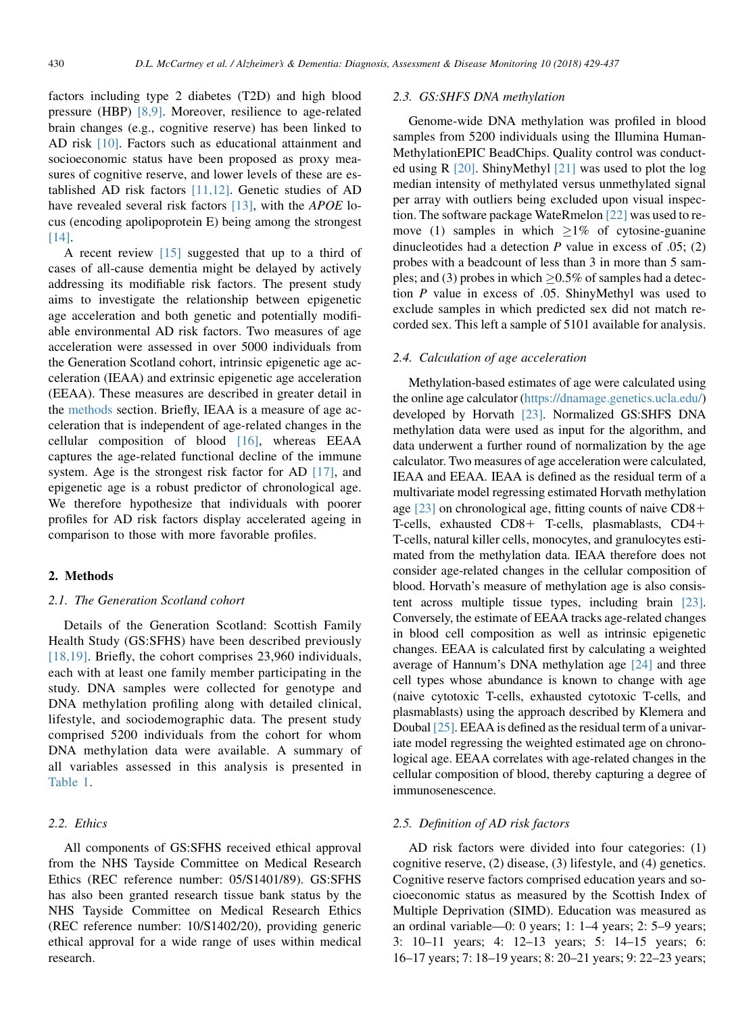factors including type 2 diabetes (T2D) and high blood pressure (HBP) [\[8,9\].](#page-7-0) Moreover, resilience to age-related brain changes (e.g., cognitive reserve) has been linked to AD risk [\[10\].](#page-7-0) Factors such as educational attainment and socioeconomic status have been proposed as proxy measures of cognitive reserve, and lower levels of these are established AD risk factors  $[11,12]$ . Genetic studies of AD have revealed several risk factors  $[13]$ , with the *APOE* locus (encoding apolipoprotein E) being among the strongest [\[14\].](#page-7-0)

A recent review [\[15\]](#page-7-0) suggested that up to a third of cases of all-cause dementia might be delayed by actively addressing its modifiable risk factors. The present study aims to investigate the relationship between epigenetic age acceleration and both genetic and potentially modifiable environmental AD risk factors. Two measures of age acceleration were assessed in over 5000 individuals from the Generation Scotland cohort, intrinsic epigenetic age acceleration (IEAA) and extrinsic epigenetic age acceleration (EEAA). These measures are described in greater detail in the [methods](#page-6-0) section. Briefly, IEAA is a measure of age acceleration that is independent of age-related changes in the cellular composition of blood [\[16\],](#page-7-0) whereas EEAA captures the age-related functional decline of the immune system. Age is the strongest risk factor for AD [\[17\]](#page-7-0), and epigenetic age is a robust predictor of chronological age. We therefore hypothesize that individuals with poorer profiles for AD risk factors display accelerated ageing in comparison to those with more favorable profiles.

# 2. Methods

#### 2.1. The Generation Scotland cohort

Details of the Generation Scotland: Scottish Family Health Study (GS:SFHS) have been described previously [\[18,19\].](#page-7-0) Briefly, the cohort comprises 23,960 individuals, each with at least one family member participating in the study. DNA samples were collected for genotype and DNA methylation profiling along with detailed clinical, lifestyle, and sociodemographic data. The present study comprised 5200 individuals from the cohort for whom DNA methylation data were available. A summary of all variables assessed in this analysis is presented in [Table 1](#page-2-0).

# 2.2. Ethics

All components of GS:SFHS received ethical approval from the NHS Tayside Committee on Medical Research Ethics (REC reference number: 05/S1401/89). GS:SFHS has also been granted research tissue bank status by the NHS Tayside Committee on Medical Research Ethics (REC reference number: 10/S1402/20), providing generic ethical approval for a wide range of uses within medical research.

#### 2.3. GS:SHFS DNA methylation

Genome-wide DNA methylation was profiled in blood samples from 5200 individuals using the Illumina Human-MethylationEPIC BeadChips. Quality control was conducted using R [\[20\].](#page-7-0) ShinyMethyl [\[21\]](#page-7-0) was used to plot the log median intensity of methylated versus unmethylated signal per array with outliers being excluded upon visual inspection. The software package WateRmelon [\[22\]](#page-7-0) was used to remove (1) samples in which  $\geq 1\%$  of cytosine-guanine dinucleotides had a detection  $P$  value in excess of .05; (2) probes with a beadcount of less than 3 in more than 5 samples; and (3) probes in which  $\geq$  0.5% of samples had a detection P value in excess of .05. ShinyMethyl was used to exclude samples in which predicted sex did not match recorded sex. This left a sample of 5101 available for analysis.

### 2.4. Calculation of age acceleration

Methylation-based estimates of age were calculated using the online age calculator [\(https://dnamage.genetics.ucla.edu/\)](https://dnamage.genetics.ucla.edu/) developed by Horvath [\[23\]](#page-7-0). Normalized GS:SHFS DNA methylation data were used as input for the algorithm, and data underwent a further round of normalization by the age calculator. Two measures of age acceleration were calculated, IEAA and EEAA. IEAA is defined as the residual term of a multivariate model regressing estimated Horvath methylation age [\[23\]](#page-7-0) on chronological age, fitting counts of naive CD8+ T-cells, exhausted  $CD8+$  T-cells, plasmablasts,  $CD4+$ T-cells, natural killer cells, monocytes, and granulocytes estimated from the methylation data. IEAA therefore does not consider age-related changes in the cellular composition of blood. Horvath's measure of methylation age is also consistent across multiple tissue types, including brain [\[23\].](#page-7-0) Conversely, the estimate of EEAA tracks age-related changes in blood cell composition as well as intrinsic epigenetic changes. EEAA is calculated first by calculating a weighted average of Hannum's DNA methylation age [\[24\]](#page-7-0) and three cell types whose abundance is known to change with age (naive cytotoxic T-cells, exhausted cytotoxic T-cells, and plasmablasts) using the approach described by Klemera and Doubal [\[25\].](#page-7-0) EEAA is defined as the residual term of a univariate model regressing the weighted estimated age on chronological age. EEAA correlates with age-related changes in the cellular composition of blood, thereby capturing a degree of immunosenescence.

## 2.5. Definition of AD risk factors

AD risk factors were divided into four categories: (1) cognitive reserve, (2) disease, (3) lifestyle, and (4) genetics. Cognitive reserve factors comprised education years and socioeconomic status as measured by the Scottish Index of Multiple Deprivation (SIMD). Education was measured as an ordinal variable—0: 0 years; 1: 1–4 years; 2: 5–9 years; 3: 10–11 years; 4: 12–13 years; 5: 14–15 years; 6: 16–17 years; 7: 18–19 years; 8: 20–21 years; 9: 22–23 years;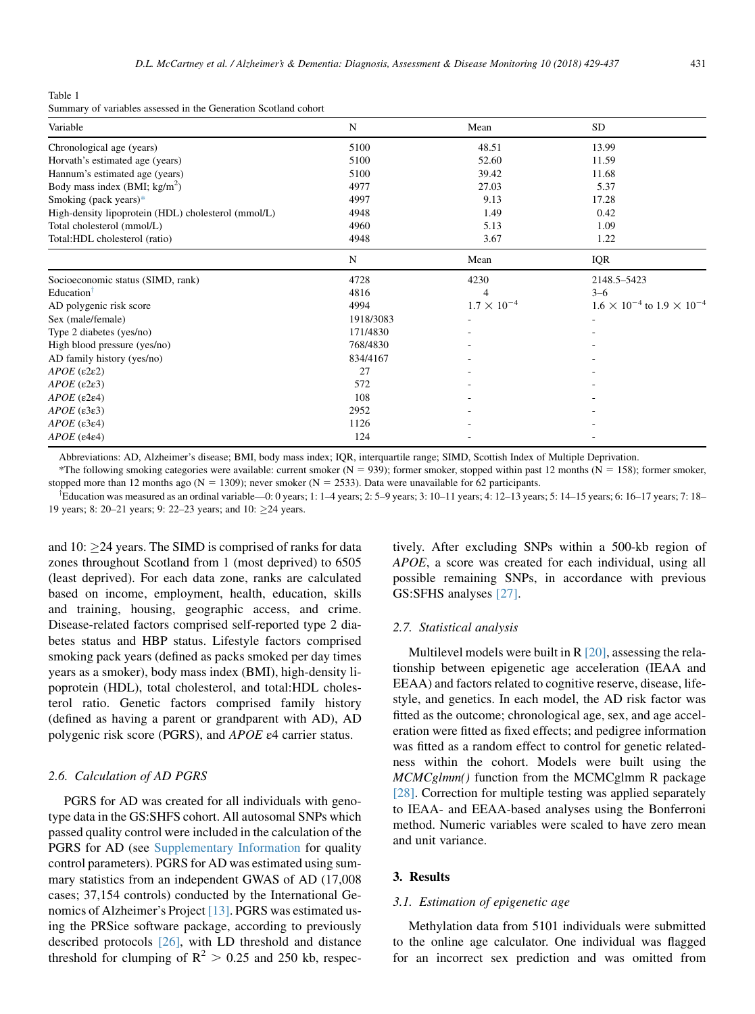<span id="page-2-0"></span>Table 1

| Summary of variables assessed in the Generation Scotland cohort |  |  |  |
|-----------------------------------------------------------------|--|--|--|
|-----------------------------------------------------------------|--|--|--|

| Variable                                            | N         | Mean                 | <b>SD</b>                                    |  |
|-----------------------------------------------------|-----------|----------------------|----------------------------------------------|--|
| Chronological age (years)                           | 5100      | 48.51                | 13.99                                        |  |
| Horvath's estimated age (years)                     | 5100      | 52.60                | 11.59                                        |  |
| Hannum's estimated age (years)                      | 5100      | 39.42                | 11.68                                        |  |
| Body mass index (BMI; $\text{kg/m}^2$ )             | 4977      | 27.03                | 5.37                                         |  |
| Smoking (pack years)*                               | 4997      | 9.13                 | 17.28                                        |  |
| High-density lipoprotein (HDL) cholesterol (mmol/L) | 4948      | 1.49                 | 0.42                                         |  |
| Total cholesterol (mmol/L)                          | 4960      | 5.13                 | 1.09                                         |  |
| Total:HDL cholesterol (ratio)                       | 4948      | 3.67                 | 1.22                                         |  |
|                                                     | N         | Mean                 | <b>IQR</b>                                   |  |
| Socioeconomic status (SIMD, rank)                   | 4728      | 4230                 | 2148.5-5423                                  |  |
| Education <sup><math>\uparrow</math></sup>          | 4816      | 4                    | $3 - 6$                                      |  |
| AD polygenic risk score                             | 4994      | $1.7 \times 10^{-4}$ | $1.6 \times 10^{-4}$ to $1.9 \times 10^{-4}$ |  |
| Sex (male/female)                                   | 1918/3083 |                      |                                              |  |
| Type 2 diabetes (yes/no)                            | 171/4830  |                      |                                              |  |
| High blood pressure (yes/no)                        | 768/4830  |                      |                                              |  |
| AD family history (yes/no)                          | 834/4167  |                      |                                              |  |
| $APOE$ ( $\varepsilon$ 2 $\varepsilon$ 2)           | 27        |                      |                                              |  |
| $APOE$ ( $\varepsilon$ 2 $\varepsilon$ 3)           | 572       |                      |                                              |  |
| $APOE$ (ε2ε4)                                       | 108       |                      |                                              |  |
| $APOE$ ( $\varepsilon$ 3 $\varepsilon$ 3)           | 2952      |                      |                                              |  |
| $APOE$ ( $\varepsilon$ 3 $\varepsilon$ 4)           | 1126      |                      |                                              |  |
| $APOE$ ( $\varepsilon$ 4 $\varepsilon$ 4)           | 124       |                      |                                              |  |

Abbreviations: AD, Alzheimer's disease; BMI, body mass index; IQR, interquartile range; SIMD, Scottish Index of Multiple Deprivation.

\*The following smoking categories were available: current smoker (N = 939); former smoker, stopped within past 12 months (N = 158); former smoker, stopped more than 12 months ago ( $N = 1309$ ); never smoker ( $N = 2533$ ). Data were unavailable for 62 participants.

<sup>†</sup>Education was measured as an ordinal variable—0: 0 years; 1: 1–4 years; 2: 5–9 years; 3: 10–11 years; 4: 12–13 years; 5: 14–15 years; 6: 16–17 years; 7: 18– 19 years; 8: 20–21 years; 9: 22–23 years; and 10: 24 years.

and 10:  $\geq$ 24 years. The SIMD is comprised of ranks for data zones throughout Scotland from 1 (most deprived) to 6505 (least deprived). For each data zone, ranks are calculated based on income, employment, health, education, skills and training, housing, geographic access, and crime. Disease-related factors comprised self-reported type 2 diabetes status and HBP status. Lifestyle factors comprised smoking pack years (defined as packs smoked per day times years as a smoker), body mass index (BMI), high-density lipoprotein (HDL), total cholesterol, and total:HDL cholesterol ratio. Genetic factors comprised family history (defined as having a parent or grandparent with AD), AD polygenic risk score (PGRS), and APOE ε4 carrier status.

### 2.6. Calculation of AD PGRS

PGRS for AD was created for all individuals with genotype data in the GS:SHFS cohort. All autosomal SNPs which passed quality control were included in the calculation of the PGRS for AD (see [Supplementary Information](#page-6-0) for quality control parameters). PGRS for AD was estimated using summary statistics from an independent GWAS of AD (17,008 cases; 37,154 controls) conducted by the International Genomics of Alzheimer's Project [\[13\]](#page-7-0). PGRS was estimated using the PRSice software package, according to previously described protocols [\[26\]](#page-7-0), with LD threshold and distance threshold for clumping of  $R^2 > 0.25$  and 250 kb, respectively. After excluding SNPs within a 500-kb region of APOE, a score was created for each individual, using all possible remaining SNPs, in accordance with previous GS:SFHS analyses [\[27\]](#page-7-0).

#### 2.7. Statistical analysis

Multilevel models were built in  $R$  [\[20\],](#page-7-0) assessing the relationship between epigenetic age acceleration (IEAA and EEAA) and factors related to cognitive reserve, disease, lifestyle, and genetics. In each model, the AD risk factor was fitted as the outcome; chronological age, sex, and age acceleration were fitted as fixed effects; and pedigree information was fitted as a random effect to control for genetic relatedness within the cohort. Models were built using the MCMCglmm() function from the MCMCglmm R package [\[28\].](#page-7-0) Correction for multiple testing was applied separately to IEAA- and EEAA-based analyses using the Bonferroni method. Numeric variables were scaled to have zero mean and unit variance.

# 3. Results

#### 3.1. Estimation of epigenetic age

Methylation data from 5101 individuals were submitted to the online age calculator. One individual was flagged for an incorrect sex prediction and was omitted from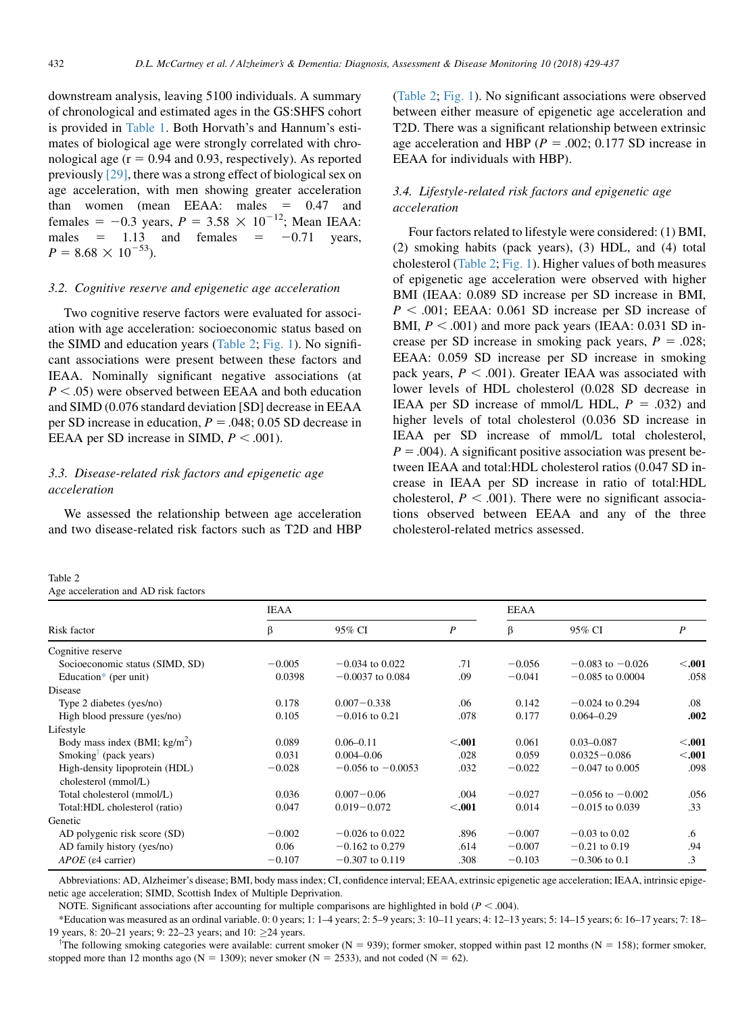<span id="page-3-0"></span>downstream analysis, leaving 5100 individuals. A summary of chronological and estimated ages in the GS:SHFS cohort is provided in [Table 1](#page-2-0). Both Horvath's and Hannum's estimates of biological age were strongly correlated with chronological age  $(r = 0.94$  and 0.93, respectively). As reported previously [\[29\]](#page-7-0), there was a strong effect of biological sex on age acceleration, with men showing greater acceleration than women (mean EEAA: males  $= 0.47$  and females = -0.3 years,  $P = 3.58 \times 10^{-12}$ ; Mean IEAA: males  $= 1.13$  and females  $= -0.71$  years,  $P = 8.68 \times 10^{-53}$ ).

## 3.2. Cognitive reserve and epigenetic age acceleration

Two cognitive reserve factors were evaluated for association with age acceleration: socioeconomic status based on the SIMD and education years (Table 2; [Fig. 1](#page-4-0)). No significant associations were present between these factors and IEAA. Nominally significant negative associations (at  $P < .05$ ) were observed between EEAA and both education and SIMD (0.076 standard deviation [SD] decrease in EEAA per SD increase in education,  $P = .048$ ; 0.05 SD decrease in EEAA per SD increase in SIMD,  $P < .001$ ).

# 3.3. Disease-related risk factors and epigenetic age acceleration

We assessed the relationship between age acceleration and two disease-related risk factors such as T2D and HBP

| Table 2                              |  |
|--------------------------------------|--|
| Age acceleration and AD risk factors |  |

(Table 2; [Fig. 1](#page-4-0)). No significant associations were observed between either measure of epigenetic age acceleration and T2D. There was a significant relationship between extrinsic age acceleration and HBP ( $P = .002$ ; 0.177 SD increase in EEAA for individuals with HBP).

# 3.4. Lifestyle-related risk factors and epigenetic age acceleration

Four factors related to lifestyle were considered: (1) BMI, (2) smoking habits (pack years), (3) HDL, and (4) total cholesterol (Table 2; [Fig. 1](#page-4-0)). Higher values of both measures of epigenetic age acceleration were observed with higher BMI (IEAA: 0.089 SD increase per SD increase in BMI,  $P < .001$ ; EEAA: 0.061 SD increase per SD increase of BMI,  $P < .001$ ) and more pack years (IEAA: 0.031 SD increase per SD increase in smoking pack years,  $P = .028$ ; EEAA: 0.059 SD increase per SD increase in smoking pack years,  $P < .001$ ). Greater IEAA was associated with lower levels of HDL cholesterol (0.028 SD decrease in IEAA per SD increase of mmol/L HDL,  $P = .032$ ) and higher levels of total cholesterol (0.036 SD increase in IEAA per SD increase of mmol/L total cholesterol,  $P = .004$ ). A significant positive association was present between IEAA and total:HDL cholesterol ratios (0.047 SD increase in IEAA per SD increase in ratio of total:HDL cholesterol,  $P < .001$ ). There were no significant associations observed between EEAA and any of the three cholesterol-related metrics assessed.

|                                   | <b>IEAA</b> |                       |                  | <b>EEAA</b> |                      |        |
|-----------------------------------|-------------|-----------------------|------------------|-------------|----------------------|--------|
| Risk factor                       | β           | 95% CI                | $\boldsymbol{P}$ | β           | 95% CI               | P      |
| Cognitive reserve                 |             |                       |                  |             |                      |        |
| Socioeconomic status (SIMD, SD)   | $-0.005$    | $-0.034$ to 0.022     | .71              | $-0.056$    | $-0.083$ to $-0.026$ | < .001 |
| Education* (per unit)             | 0.0398      | $-0.0037$ to 0.084    | .09              | $-0.041$    | $-0.085$ to 0.0004   | .058   |
| Disease                           |             |                       |                  |             |                      |        |
| Type 2 diabetes (yes/no)          | 0.178       | $0.007 - 0.338$       | .06              | 0.142       | $-0.024$ to 0.294    | .08    |
| High blood pressure (yes/no)      | 0.105       | $-0.016$ to 0.21      | .078             | 0.177       | $0.064 - 0.29$       | .002   |
| Lifestyle                         |             |                       |                  |             |                      |        |
| Body mass index $(BMI; kg/m2)$    | 0.089       | $0.06 - 0.11$         | $<$ .001         | 0.061       | $0.03 - 0.087$       | < .001 |
| Smoking <sup>†</sup> (pack years) | 0.031       | $0.004 - 0.06$        | .028             | 0.059       | $0.0325 - 0.086$     | < .001 |
| High-density lipoprotein (HDL)    | $-0.028$    | $-0.056$ to $-0.0053$ | .032             | $-0.022$    | $-0.047$ to 0.005    | .098   |
| cholesterol (mmol/L)              |             |                       |                  |             |                      |        |
| Total cholesterol (mmol/L)        | 0.036       | $0.007 - 0.06$        | .004             | $-0.027$    | $-0.056$ to $-0.002$ | .056   |
| Total:HDL cholesterol (ratio)     | 0.047       | $0.019 - 0.072$       | $<$ .001         | 0.014       | $-0.015$ to 0.039    | .33    |
| Genetic                           |             |                       |                  |             |                      |        |
| AD polygenic risk score (SD)      | $-0.002$    | $-0.026$ to 0.022     | .896             | $-0.007$    | $-0.03$ to 0.02      | .6     |
| AD family history (yes/no)        | 0.06        | $-0.162$ to 0.279     | .614             | $-0.007$    | $-0.21$ to 0.19      | .94    |
| $APOE$ ( $\varepsilon$ 4 carrier) | $-0.107$    | $-0.307$ to 0.119     | .308             | $-0.103$    | $-0.306$ to 0.1      | .3     |

Abbreviations: AD, Alzheimer's disease; BMI, body mass index; CI, confidence interval; EEAA, extrinsic epigenetic age acceleration; IEAA, intrinsic epigenetic age acceleration; SIMD, Scottish Index of Multiple Deprivation.

NOTE. Significant associations after accounting for multiple comparisons are highlighted in bold ( $P < .004$ ).

\*Education was measured as an ordinal variable. 0: 0 years; 1: 1–4 years; 2: 5–9 years; 3: 10–11 years; 4: 12–13 years; 5: 14–15 years; 6: 16–17 years; 7: 18– 19 years, 8: 20–21 years; 9: 22–23 years; and 10: 24 years.

The following smoking categories were available: current smoker ( $N = 939$ ); former smoker, stopped within past 12 months ( $N = 158$ ); former smoker, stopped more than 12 months ago (N = 1309); never smoker (N = 2533), and not coded (N = 62).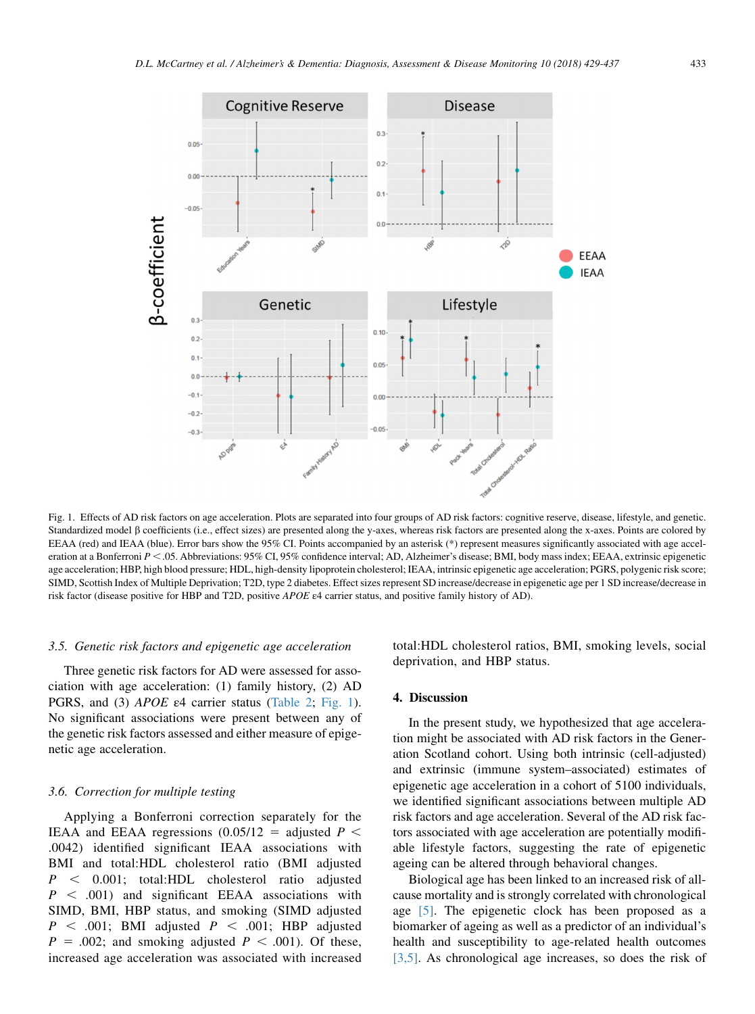<span id="page-4-0"></span>

Fig. 1. Effects of AD risk factors on age acceleration. Plots are separated into four groups of AD risk factors: cognitive reserve, disease, lifestyle, and genetic. Standardized model  $\beta$  coefficients (i.e., effect sizes) are presented along the y-axes, whereas risk factors are presented along the x-axes. Points are colored by EEAA (red) and IEAA (blue). Error bars show the 95% CI. Points accompanied by an asterisk (\*) represent measures significantly associated with age acceleration at a Bonferroni  $P \le 0.05$ . Abbreviations: 95% CI, 95% confidence interval; AD, Alzheimer's disease; BMI, body mass index; EEAA, extrinsic epigenetic age acceleration; HBP, high blood pressure; HDL, high-density lipoprotein cholesterol; IEAA, intrinsic epigenetic age acceleration; PGRS, polygenic risk score; SIMD, Scottish Index of Multiple Deprivation; T2D, type 2 diabetes. Effect sizes represent SD increase/decrease in epigenetic age per 1 SD increase/decrease in risk factor (disease positive for HBP and T2D, positive APOE ε4 carrier status, and positive family history of AD).

## 3.5. Genetic risk factors and epigenetic age acceleration

Three genetic risk factors for AD were assessed for association with age acceleration: (1) family history, (2) AD PGRS, and (3) APOE ε4 carrier status ([Table 2](#page-3-0); Fig. 1). No significant associations were present between any of the genetic risk factors assessed and either measure of epigenetic age acceleration.

## 3.6. Correction for multiple testing

Applying a Bonferroni correction separately for the IEAA and EEAA regressions  $(0.05/12 =$  adjusted  $P <$ .0042) identified significant IEAA associations with BMI and total:HDL cholesterol ratio (BMI adjusted  $P \sim 0.001$ ; total:HDL cholesterol ratio adjusted  $P \n< .001$  and significant EEAA associations with SIMD, BMI, HBP status, and smoking (SIMD adjusted  $P \leq .001$ ; BMI adjusted  $P \leq .001$ ; HBP adjusted  $P = .002$ ; and smoking adjusted  $P < .001$ ). Of these, increased age acceleration was associated with increased total:HDL cholesterol ratios, BMI, smoking levels, social deprivation, and HBP status.

# 4. Discussion

In the present study, we hypothesized that age acceleration might be associated with AD risk factors in the Generation Scotland cohort. Using both intrinsic (cell-adjusted) and extrinsic (immune system–associated) estimates of epigenetic age acceleration in a cohort of 5100 individuals, we identified significant associations between multiple AD risk factors and age acceleration. Several of the AD risk factors associated with age acceleration are potentially modifiable lifestyle factors, suggesting the rate of epigenetic ageing can be altered through behavioral changes.

Biological age has been linked to an increased risk of allcause mortality and is strongly correlated with chronological age [\[5\]](#page-7-0). The epigenetic clock has been proposed as a biomarker of ageing as well as a predictor of an individual's health and susceptibility to age-related health outcomes [\[3,5\]](#page-7-0). As chronological age increases, so does the risk of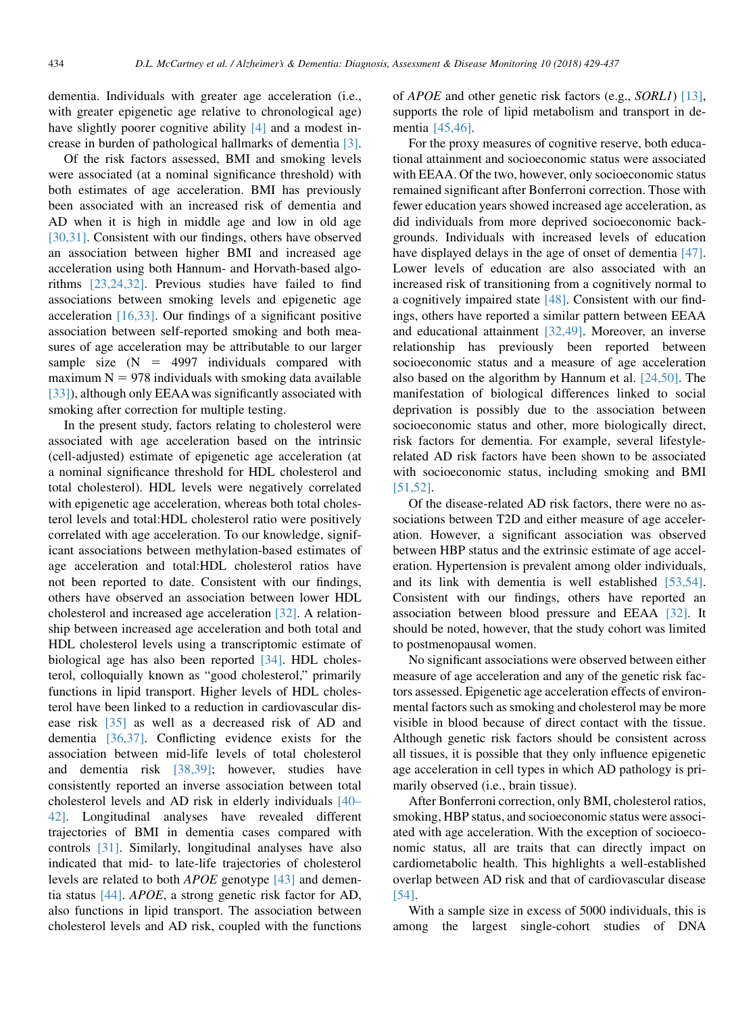dementia. Individuals with greater age acceleration (i.e., with greater epigenetic age relative to chronological age) have slightly poorer cognitive ability [\[4\]](#page-7-0) and a modest increase in burden of pathological hallmarks of dementia [\[3\].](#page-7-0)

Of the risk factors assessed, BMI and smoking levels were associated (at a nominal significance threshold) with both estimates of age acceleration. BMI has previously been associated with an increased risk of dementia and AD when it is high in middle age and low in old age [\[30,31\]](#page-7-0). Consistent with our findings, others have observed an association between higher BMI and increased age acceleration using both Hannum- and Horvath-based algorithms [\[23,24,32\]](#page-7-0). Previous studies have failed to find associations between smoking levels and epigenetic age acceleration  $[16,33]$ . Our findings of a significant positive association between self-reported smoking and both measures of age acceleration may be attributable to our larger sample size  $(N = 4997)$  individuals compared with maximum  $N = 978$  individuals with smoking data available [\[33\]\)](#page-8-0), although only EEAA was significantly associated with smoking after correction for multiple testing.

In the present study, factors relating to cholesterol were associated with age acceleration based on the intrinsic (cell-adjusted) estimate of epigenetic age acceleration (at a nominal significance threshold for HDL cholesterol and total cholesterol). HDL levels were negatively correlated with epigenetic age acceleration, whereas both total cholesterol levels and total:HDL cholesterol ratio were positively correlated with age acceleration. To our knowledge, significant associations between methylation-based estimates of age acceleration and total:HDL cholesterol ratios have not been reported to date. Consistent with our findings, others have observed an association between lower HDL cholesterol and increased age acceleration [\[32\].](#page-8-0) A relationship between increased age acceleration and both total and HDL cholesterol levels using a transcriptomic estimate of biological age has also been reported [\[34\]](#page-8-0). HDL cholesterol, colloquially known as "good cholesterol," primarily functions in lipid transport. Higher levels of HDL cholesterol have been linked to a reduction in cardiovascular disease risk [\[35\]](#page-8-0) as well as a decreased risk of AD and dementia [\[36,37\]](#page-8-0). Conflicting evidence exists for the association between mid-life levels of total cholesterol and dementia risk [\[38,39\]](#page-8-0); however, studies have consistently reported an inverse association between total cholesterol levels and AD risk in elderly individuals [\[40–](#page-8-0) [42\]](#page-8-0). Longitudinal analyses have revealed different trajectories of BMI in dementia cases compared with controls [\[31\]](#page-7-0). Similarly, longitudinal analyses have also indicated that mid- to late-life trajectories of cholesterol levels are related to both APOE genotype [\[43\]](#page-8-0) and dementia status [\[44\]](#page-8-0). APOE, a strong genetic risk factor for AD, also functions in lipid transport. The association between cholesterol levels and AD risk, coupled with the functions of APOE and other genetic risk factors (e.g., SORL1) [\[13\],](#page-7-0) supports the role of lipid metabolism and transport in dementia [\[45,46\].](#page-8-0)

For the proxy measures of cognitive reserve, both educational attainment and socioeconomic status were associated with EEAA. Of the two, however, only socioeconomic status remained significant after Bonferroni correction. Those with fewer education years showed increased age acceleration, as did individuals from more deprived socioeconomic backgrounds. Individuals with increased levels of education have displayed delays in the age of onset of dementia [\[47\].](#page-8-0) Lower levels of education are also associated with an increased risk of transitioning from a cognitively normal to a cognitively impaired state [\[48\]](#page-8-0). Consistent with our findings, others have reported a similar pattern between EEAA and educational attainment [\[32,49\].](#page-8-0) Moreover, an inverse relationship has previously been reported between socioeconomic status and a measure of age acceleration also based on the algorithm by Hannum et al. [\[24,50\].](#page-7-0) The manifestation of biological differences linked to social deprivation is possibly due to the association between socioeconomic status and other, more biologically direct, risk factors for dementia. For example, several lifestylerelated AD risk factors have been shown to be associated with socioeconomic status, including smoking and BMI [\[51,52\]](#page-8-0).

Of the disease-related AD risk factors, there were no associations between T2D and either measure of age acceleration. However, a significant association was observed between HBP status and the extrinsic estimate of age acceleration. Hypertension is prevalent among older individuals, and its link with dementia is well established [\[53,54\].](#page-8-0) Consistent with our findings, others have reported an association between blood pressure and EEAA [\[32\].](#page-8-0) It should be noted, however, that the study cohort was limited to postmenopausal women.

No significant associations were observed between either measure of age acceleration and any of the genetic risk factors assessed. Epigenetic age acceleration effects of environmental factors such as smoking and cholesterol may be more visible in blood because of direct contact with the tissue. Although genetic risk factors should be consistent across all tissues, it is possible that they only influence epigenetic age acceleration in cell types in which AD pathology is primarily observed (i.e., brain tissue).

After Bonferroni correction, only BMI, cholesterol ratios, smoking, HBP status, and socioeconomic status were associated with age acceleration. With the exception of socioeconomic status, all are traits that can directly impact on cardiometabolic health. This highlights a well-established overlap between AD risk and that of cardiovascular disease [\[54\].](#page-8-0)

With a sample size in excess of 5000 individuals, this is among the largest single-cohort studies of DNA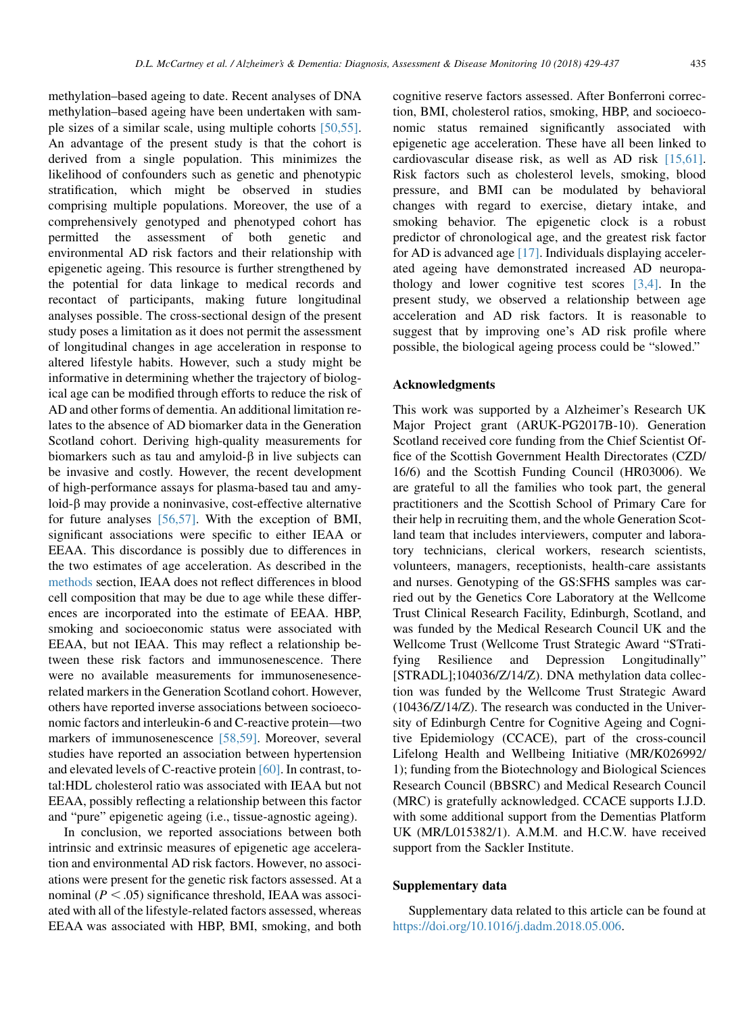<span id="page-6-0"></span>methylation–based ageing to date. Recent analyses of DNA methylation–based ageing have been undertaken with sample sizes of a similar scale, using multiple cohorts [\[50,55\].](#page-8-0) An advantage of the present study is that the cohort is derived from a single population. This minimizes the likelihood of confounders such as genetic and phenotypic stratification, which might be observed in studies comprising multiple populations. Moreover, the use of a comprehensively genotyped and phenotyped cohort has permitted the assessment of both genetic and environmental AD risk factors and their relationship with epigenetic ageing. This resource is further strengthened by the potential for data linkage to medical records and recontact of participants, making future longitudinal analyses possible. The cross-sectional design of the present study poses a limitation as it does not permit the assessment of longitudinal changes in age acceleration in response to altered lifestyle habits. However, such a study might be informative in determining whether the trajectory of biological age can be modified through efforts to reduce the risk of AD and other forms of dementia. An additional limitation relates to the absence of AD biomarker data in the Generation Scotland cohort. Deriving high-quality measurements for biomarkers such as tau and amyloid- $\beta$  in live subjects can be invasive and costly. However, the recent development of high-performance assays for plasma-based tau and amy $loid- $\beta$  may provide a noninvasive, cost-effective alternative$ for future analyses [\[56,57\].](#page-8-0) With the exception of BMI, significant associations were specific to either IEAA or EEAA. This discordance is possibly due to differences in the two estimates of age acceleration. As described in the methods section, IEAA does not reflect differences in blood cell composition that may be due to age while these differences are incorporated into the estimate of EEAA. HBP, smoking and socioeconomic status were associated with EEAA, but not IEAA. This may reflect a relationship between these risk factors and immunosenescence. There were no available measurements for immunosenesencerelated markers in the Generation Scotland cohort. However, others have reported inverse associations between socioeconomic factors and interleukin-6 and C-reactive protein—two markers of immunosenescence [\[58,59\]](#page-8-0). Moreover, several studies have reported an association between hypertension and elevated levels of C-reactive protein [\[60\]](#page-8-0). In contrast, total:HDL cholesterol ratio was associated with IEAA but not EEAA, possibly reflecting a relationship between this factor and "pure" epigenetic ageing (i.e., tissue-agnostic ageing).

In conclusion, we reported associations between both intrinsic and extrinsic measures of epigenetic age acceleration and environmental AD risk factors. However, no associations were present for the genetic risk factors assessed. At a nominal ( $P < .05$ ) significance threshold, IEAA was associ-ated with all of the lifestyle-related factors assessed, whereas EEAA was associated with HBP, BMI, smoking, and both cognitive reserve factors assessed. After Bonferroni correction, BMI, cholesterol ratios, smoking, HBP, and socioeconomic status remained significantly associated with epigenetic age acceleration. These have all been linked to cardiovascular disease risk, as well as AD risk [\[15,61\].](#page-7-0) Risk factors such as cholesterol levels, smoking, blood pressure, and BMI can be modulated by behavioral changes with regard to exercise, dietary intake, and smoking behavior. The epigenetic clock is a robust predictor of chronological age, and the greatest risk factor for AD is advanced age [\[17\].](#page-7-0) Individuals displaying accelerated ageing have demonstrated increased AD neuropathology and lower cognitive test scores  $[3,4]$ . In the present study, we observed a relationship between age acceleration and AD risk factors. It is reasonable to suggest that by improving one's AD risk profile where possible, the biological ageing process could be "slowed."

#### Acknowledgments

This work was supported by a Alzheimer's Research UK Major Project grant (ARUK-PG2017B-10). Generation Scotland received core funding from the Chief Scientist Office of the Scottish Government Health Directorates (CZD/ 16/6) and the Scottish Funding Council (HR03006). We are grateful to all the families who took part, the general practitioners and the Scottish School of Primary Care for their help in recruiting them, and the whole Generation Scotland team that includes interviewers, computer and laboratory technicians, clerical workers, research scientists, volunteers, managers, receptionists, health-care assistants and nurses. Genotyping of the GS:SFHS samples was carried out by the Genetics Core Laboratory at the Wellcome Trust Clinical Research Facility, Edinburgh, Scotland, and was funded by the Medical Research Council UK and the Wellcome Trust (Wellcome Trust Strategic Award "STratifying Resilience and Depression Longitudinally" [STRADL];104036/Z/14/Z). DNA methylation data collection was funded by the Wellcome Trust Strategic Award (10436/Z/14/Z). The research was conducted in the University of Edinburgh Centre for Cognitive Ageing and Cognitive Epidemiology (CCACE), part of the cross-council Lifelong Health and Wellbeing Initiative (MR/K026992/ 1); funding from the Biotechnology and Biological Sciences Research Council (BBSRC) and Medical Research Council (MRC) is gratefully acknowledged. CCACE supports I.J.D. with some additional support from the Dementias Platform UK (MR/L015382/1). A.M.M. and H.C.W. have received support from the Sackler Institute.

## Supplementary data

Supplementary data related to this article can be found at <https://doi.org/10.1016/j.dadm.2018.05.006>.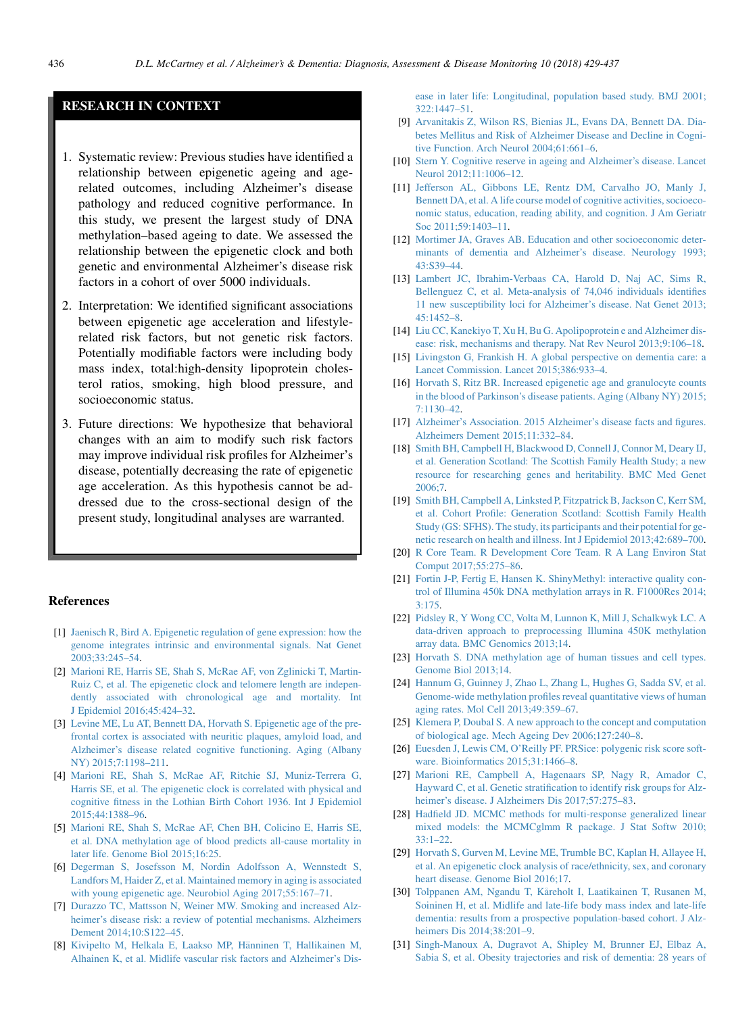# <span id="page-7-0"></span>RESEARCH IN CONTEXT

- 1. Systematic review: Previous studies have identified a relationship between epigenetic ageing and agerelated outcomes, including Alzheimer's disease pathology and reduced cognitive performance. In this study, we present the largest study of DNA methylation–based ageing to date. We assessed the relationship between the epigenetic clock and both genetic and environmental Alzheimer's disease risk factors in a cohort of over 5000 individuals.
- 2. Interpretation: We identified significant associations between epigenetic age acceleration and lifestylerelated risk factors, but not genetic risk factors. Potentially modifiable factors were including body mass index, total:high-density lipoprotein cholesterol ratios, smoking, high blood pressure, and socioeconomic status.
- 3. Future directions: We hypothesize that behavioral changes with an aim to modify such risk factors may improve individual risk profiles for Alzheimer's disease, potentially decreasing the rate of epigenetic age acceleration. As this hypothesis cannot be addressed due to the cross-sectional design of the present study, longitudinal analyses are warranted.

#### **References**

- [1] [Jaenisch R, Bird A. Epigenetic regulation of gene expression: how the](http://refhub.elsevier.com/S2352-8729(18)30031-9/sref1) [genome integrates intrinsic and environmental signals. Nat Genet](http://refhub.elsevier.com/S2352-8729(18)30031-9/sref1) [2003;33:245–54](http://refhub.elsevier.com/S2352-8729(18)30031-9/sref1).
- [2] [Marioni RE, Harris SE, Shah S, McRae AF, von Zglinicki T, Martin-](http://refhub.elsevier.com/S2352-8729(18)30031-9/sref2)[Ruiz C, et al. The epigenetic clock and telomere length are indepen](http://refhub.elsevier.com/S2352-8729(18)30031-9/sref2)[dently associated with chronological age and mortality. Int](http://refhub.elsevier.com/S2352-8729(18)30031-9/sref2) [J Epidemiol 2016;45:424–32](http://refhub.elsevier.com/S2352-8729(18)30031-9/sref2).
- [3] [Levine ME, Lu AT, Bennett DA, Horvath S. Epigenetic age of the pre](http://refhub.elsevier.com/S2352-8729(18)30031-9/sref3)[frontal cortex is associated with neuritic plaques, amyloid load, and](http://refhub.elsevier.com/S2352-8729(18)30031-9/sref3) [Alzheimer's disease related cognitive functioning. Aging \(Albany](http://refhub.elsevier.com/S2352-8729(18)30031-9/sref3) [NY\) 2015;7:1198–211.](http://refhub.elsevier.com/S2352-8729(18)30031-9/sref3)
- [4] [Marioni RE, Shah S, McRae AF, Ritchie SJ, Muniz-Terrera G,](http://refhub.elsevier.com/S2352-8729(18)30031-9/sref4) [Harris SE, et al. The epigenetic clock is correlated with physical and](http://refhub.elsevier.com/S2352-8729(18)30031-9/sref4) [cognitive fitness in the Lothian Birth Cohort 1936. Int J Epidemiol](http://refhub.elsevier.com/S2352-8729(18)30031-9/sref4) [2015;44:1388–96](http://refhub.elsevier.com/S2352-8729(18)30031-9/sref4).
- [5] [Marioni RE, Shah S, McRae AF, Chen BH, Colicino E, Harris SE,](http://refhub.elsevier.com/S2352-8729(18)30031-9/sref5) [et al. DNA methylation age of blood predicts all-cause mortality in](http://refhub.elsevier.com/S2352-8729(18)30031-9/sref5) [later life. Genome Biol 2015;16:25.](http://refhub.elsevier.com/S2352-8729(18)30031-9/sref5)
- [6] [Degerman S, Josefsson M, Nordin Adolfsson A, Wennstedt S,](http://refhub.elsevier.com/S2352-8729(18)30031-9/sref6) [Landfors M, Haider Z, et al. Maintained memory in aging is associated](http://refhub.elsevier.com/S2352-8729(18)30031-9/sref6) [with young epigenetic age. Neurobiol Aging 2017;55:167–71.](http://refhub.elsevier.com/S2352-8729(18)30031-9/sref6)
- [7] [Durazzo TC, Mattsson N, Weiner MW. Smoking and increased Alz](http://refhub.elsevier.com/S2352-8729(18)30031-9/sref7)[heimer's disease risk: a review of potential mechanisms. Alzheimers](http://refhub.elsevier.com/S2352-8729(18)30031-9/sref7) [Dement 2014;10:S122–45](http://refhub.elsevier.com/S2352-8729(18)30031-9/sref7).
- [8] [Kivipelto M, Helkala E, Laakso MP, H](http://refhub.elsevier.com/S2352-8729(18)30031-9/sref8)änninen T, Hallikainen M, [Alhainen K, et al. Midlife vascular risk factors and Alzheimer's Dis-](http://refhub.elsevier.com/S2352-8729(18)30031-9/sref8)

[ease in later life: Longitudinal, population based study. BMJ 2001;](http://refhub.elsevier.com/S2352-8729(18)30031-9/sref8) [322:1447–51](http://refhub.elsevier.com/S2352-8729(18)30031-9/sref8).

- [9] [Arvanitakis Z, Wilson RS, Bienias JL, Evans DA, Bennett DA. Dia](http://refhub.elsevier.com/S2352-8729(18)30031-9/sref9)[betes Mellitus and Risk of Alzheimer Disease and Decline in Cogni](http://refhub.elsevier.com/S2352-8729(18)30031-9/sref9)[tive Function. Arch Neurol 2004;61:661–6](http://refhub.elsevier.com/S2352-8729(18)30031-9/sref9).
- [10] [Stern Y. Cognitive reserve in ageing and Alzheimer's disease. Lancet](http://refhub.elsevier.com/S2352-8729(18)30031-9/sref10) [Neurol 2012;11:1006–12.](http://refhub.elsevier.com/S2352-8729(18)30031-9/sref10)
- [11] [Jefferson AL, Gibbons LE, Rentz DM, Carvalho JO, Manly J,](http://refhub.elsevier.com/S2352-8729(18)30031-9/sref11) [Bennett DA, et al. A life course model of cognitive activities, socioeco](http://refhub.elsevier.com/S2352-8729(18)30031-9/sref11)[nomic status, education, reading ability, and cognition. J Am Geriatr](http://refhub.elsevier.com/S2352-8729(18)30031-9/sref11) [Soc 2011;59:1403–11](http://refhub.elsevier.com/S2352-8729(18)30031-9/sref11).
- [12] [Mortimer JA, Graves AB. Education and other socioeconomic deter](http://refhub.elsevier.com/S2352-8729(18)30031-9/sref12)[minants of dementia and Alzheimer's disease. Neurology 1993;](http://refhub.elsevier.com/S2352-8729(18)30031-9/sref12) [43:S39–44.](http://refhub.elsevier.com/S2352-8729(18)30031-9/sref12)
- [13] [Lambert JC, Ibrahim-Verbaas CA, Harold D, Naj AC, Sims R,](http://refhub.elsevier.com/S2352-8729(18)30031-9/sref13) [Bellenguez C, et al. Meta-analysis of 74,046 individuals identifies](http://refhub.elsevier.com/S2352-8729(18)30031-9/sref13) [11 new susceptibility loci for Alzheimer's disease. Nat Genet 2013;](http://refhub.elsevier.com/S2352-8729(18)30031-9/sref13) [45:1452–8](http://refhub.elsevier.com/S2352-8729(18)30031-9/sref13).
- [14] [Liu CC, Kanekiyo T, Xu H, Bu G. Apolipoprotein e and Alzheimer dis](http://refhub.elsevier.com/S2352-8729(18)30031-9/sref14)[ease: risk, mechanisms and therapy. Nat Rev Neurol 2013;9:106–18.](http://refhub.elsevier.com/S2352-8729(18)30031-9/sref14)
- [15] [Livingston G, Frankish H. A global perspective on dementia care: a](http://refhub.elsevier.com/S2352-8729(18)30031-9/sref15) [Lancet Commission. Lancet 2015;386:933–4.](http://refhub.elsevier.com/S2352-8729(18)30031-9/sref15)
- [16] [Horvath S, Ritz BR. Increased epigenetic age and granulocyte counts](http://refhub.elsevier.com/S2352-8729(18)30031-9/sref16) [in the blood of Parkinson's disease patients. Aging \(Albany NY\) 2015;](http://refhub.elsevier.com/S2352-8729(18)30031-9/sref16) [7:1130–42](http://refhub.elsevier.com/S2352-8729(18)30031-9/sref16).
- [17] [Alzheimer's Association. 2015 Alzheimer's disease facts and figures.](http://refhub.elsevier.com/S2352-8729(18)30031-9/sref17) [Alzheimers Dement 2015;11:332–84.](http://refhub.elsevier.com/S2352-8729(18)30031-9/sref17)
- [18] [Smith BH, Campbell H, Blackwood D, Connell J, Connor M, Deary IJ,](http://refhub.elsevier.com/S2352-8729(18)30031-9/sref18) [et al. Generation Scotland: The Scottish Family Health Study; a new](http://refhub.elsevier.com/S2352-8729(18)30031-9/sref18) [resource for researching genes and heritability. BMC Med Genet](http://refhub.elsevier.com/S2352-8729(18)30031-9/sref18) [2006;7](http://refhub.elsevier.com/S2352-8729(18)30031-9/sref18).
- [19] [Smith BH, Campbell A, Linksted P, Fitzpatrick B, Jackson C, Kerr SM,](http://refhub.elsevier.com/S2352-8729(18)30031-9/sref19) [et al. Cohort Profile: Generation Scotland: Scottish Family Health](http://refhub.elsevier.com/S2352-8729(18)30031-9/sref19) [Study \(GS: SFHS\). The study, its participants and their potential for ge](http://refhub.elsevier.com/S2352-8729(18)30031-9/sref19)[netic research on health and illness. Int J Epidemiol 2013;42:689–700](http://refhub.elsevier.com/S2352-8729(18)30031-9/sref19).
- [20] [R Core Team. R Development Core Team. R A Lang Environ Stat](http://refhub.elsevier.com/S2352-8729(18)30031-9/sref20) [Comput 2017;55:275–86](http://refhub.elsevier.com/S2352-8729(18)30031-9/sref20).
- [21] [Fortin J-P, Fertig E, Hansen K. ShinyMethyl: interactive quality con](http://refhub.elsevier.com/S2352-8729(18)30031-9/sref21)[trol of Illumina 450k DNA methylation arrays in R. F1000Res 2014;](http://refhub.elsevier.com/S2352-8729(18)30031-9/sref21) [3:175](http://refhub.elsevier.com/S2352-8729(18)30031-9/sref21).
- [22] [Pidsley R, Y Wong CC, Volta M, Lunnon K, Mill J, Schalkwyk LC. A](http://refhub.elsevier.com/S2352-8729(18)30031-9/sref22) [data-driven approach to preprocessing Illumina 450K methylation](http://refhub.elsevier.com/S2352-8729(18)30031-9/sref22) [array data. BMC Genomics 2013;14.](http://refhub.elsevier.com/S2352-8729(18)30031-9/sref22)
- [23] [Horvath S. DNA methylation age of human tissues and cell types.](http://refhub.elsevier.com/S2352-8729(18)30031-9/sref23) [Genome Biol 2013;14](http://refhub.elsevier.com/S2352-8729(18)30031-9/sref23).
- [24] [Hannum G, Guinney J, Zhao L, Zhang L, Hughes G, Sadda SV, et al.](http://refhub.elsevier.com/S2352-8729(18)30031-9/sref24) [Genome-wide methylation profiles reveal quantitative views of human](http://refhub.elsevier.com/S2352-8729(18)30031-9/sref24) [aging rates. Mol Cell 2013;49:359–67.](http://refhub.elsevier.com/S2352-8729(18)30031-9/sref24)
- [25] [Klemera P, Doubal S. A new approach to the concept and computation](http://refhub.elsevier.com/S2352-8729(18)30031-9/sref25) [of biological age. Mech Ageing Dev 2006;127:240–8](http://refhub.elsevier.com/S2352-8729(18)30031-9/sref25).
- [26] [Euesden J, Lewis CM, O'Reilly PF. PRSice: polygenic risk score soft](http://refhub.elsevier.com/S2352-8729(18)30031-9/sref26)[ware. Bioinformatics 2015;31:1466–8](http://refhub.elsevier.com/S2352-8729(18)30031-9/sref26).
- [27] [Marioni RE, Campbell A, Hagenaars SP, Nagy R, Amador C,](http://refhub.elsevier.com/S2352-8729(18)30031-9/sref27) [Hayward C, et al. Genetic stratification to identify risk groups for Alz](http://refhub.elsevier.com/S2352-8729(18)30031-9/sref27)[heimer's disease. J Alzheimers Dis 2017;57:275–83](http://refhub.elsevier.com/S2352-8729(18)30031-9/sref27).
- [28] [Hadfield JD. MCMC methods for multi-response generalized linear](http://refhub.elsevier.com/S2352-8729(18)30031-9/sref28) [mixed models: the MCMCglmm R package. J Stat Softw 2010;](http://refhub.elsevier.com/S2352-8729(18)30031-9/sref28)  $33 \cdot 1 - 22$
- [29] [Horvath S, Gurven M, Levine ME, Trumble BC, Kaplan H, Allayee H,](http://refhub.elsevier.com/S2352-8729(18)30031-9/sref29) [et al. An epigenetic clock analysis of race/ethnicity, sex, and coronary](http://refhub.elsevier.com/S2352-8729(18)30031-9/sref29) [heart disease. Genome Biol 2016;17.](http://refhub.elsevier.com/S2352-8729(18)30031-9/sref29)
- [30] [Tolppanen AM, Ngandu T, K](http://refhub.elsevier.com/S2352-8729(18)30031-9/sref30)åreholt I, Laatikainen T, Rusanen M, [Soininen H, et al. Midlife and late-life body mass index and late-life](http://refhub.elsevier.com/S2352-8729(18)30031-9/sref30) [dementia: results from a prospective population-based cohort. J Alz](http://refhub.elsevier.com/S2352-8729(18)30031-9/sref30)[heimers Dis 2014;38:201–9](http://refhub.elsevier.com/S2352-8729(18)30031-9/sref30).
- [31] [Singh-Manoux A, Dugravot A, Shipley M, Brunner EJ, Elbaz A,](http://refhub.elsevier.com/S2352-8729(18)30031-9/sref31) [Sabia S, et al. Obesity trajectories and risk of dementia: 28 years of](http://refhub.elsevier.com/S2352-8729(18)30031-9/sref31)